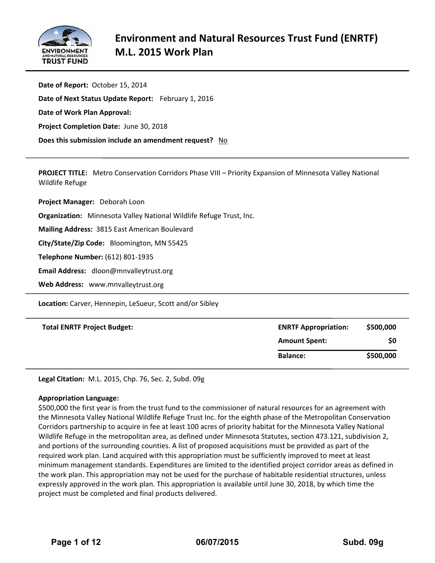

**Date of Report:** October 15, 2014 **Date of Next Status Update Report:**  February 1, 2016 **Date of Work Plan Approval: Project Completion Date:** June 30, 2018 **Does this submission include an amendment request?** No

**PROJECT TITLE:** Metro Conservation Corridors Phase VIII – Priority Expansion of Minnesota Valley National Wildlife Refuge

**Project Manager:**  Deborah Loon

**Organization:** Minnesota Valley National Wildlife Refuge Trust, Inc.

**Mailing Address:** 3815 East American Boulevard

**City/State/Zip Code:** Bloomington, MN 55425

**Telephone Number:** (612) 801‐1935

**Email Address:** dloon@mnvalleytrust.org

**Web Address:** www.mnvalleytrust.org

**Location:** Carver, Hennepin, LeSueur, Scott and/or Sibley

| <b>Total ENRTF Project Budget:</b> | <b>ENRTF Appropriation:</b> | \$500,000 |  |
|------------------------------------|-----------------------------|-----------|--|
|                                    | <b>Amount Spent:</b>        | \$0       |  |
|                                    | <b>Balance:</b>             | \$500,000 |  |

**Legal Citation:** M.L. 2015, Chp. 76, Sec. 2, Subd. 09g

#### **Appropriation Language:**

\$500,000 the first year is from the trust fund to the commissioner of natural resources for an agreement with the Minnesota Valley National Wildlife Refuge Trust Inc. for the eighth phase of the Metropolitan Conservation Corridors partnership to acquire in fee at least 100 acres of priority habitat for the Minnesota Valley National Wildlife Refuge in the metropolitan area, as defined under Minnesota Statutes, section 473.121, subdivision 2, and portions of the surrounding counties. A list of proposed acquisitions must be provided as part of the required work plan. Land acquired with this appropriation must be sufficiently improved to meet at least minimum management standards. Expenditures are limited to the identified project corridor areas as defined in the work plan. This appropriation may not be used for the purchase of habitable residential structures, unless expressly approved in the work plan. This appropriation is available until June 30, 2018, by which time the project must be completed and final products delivered.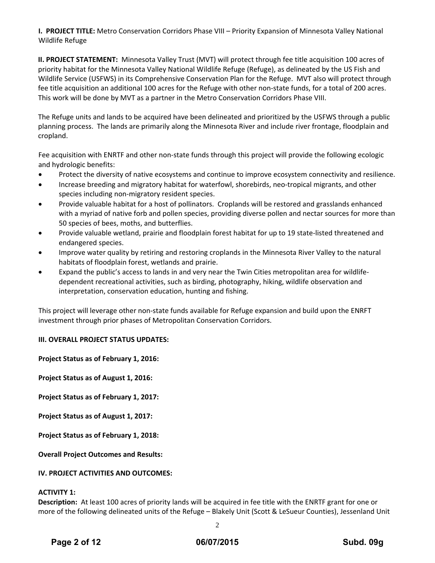**I. PROJECT TITLE:** Metro Conservation Corridors Phase VIII – Priority Expansion of Minnesota Valley National Wildlife Refuge

**II. PROJECT STATEMENT:** Minnesota Valley Trust (MVT) will protect through fee title acquisition 100 acres of priority habitat for the Minnesota Valley National Wildlife Refuge (Refuge), as delineated by the US Fish and Wildlife Service (USFWS) in its Comprehensive Conservation Plan for the Refuge. MVT also will protect through fee title acquisition an additional 100 acres for the Refuge with other non‐state funds, for a total of 200 acres. This work will be done by MVT as a partner in the Metro Conservation Corridors Phase VIII.

The Refuge units and lands to be acquired have been delineated and prioritized by the USFWS through a public planning process. The lands are primarily along the Minnesota River and include river frontage, floodplain and cropland.

Fee acquisition with ENRTF and other non-state funds through this project will provide the following ecologic and hydrologic benefits:

- Protect the diversity of native ecosystems and continue to improve ecosystem connectivity and resilience.
- Increase breeding and migratory habitat for waterfowl, shorebirds, neo-tropical migrants, and other species including non‐migratory resident species.
- Provide valuable habitat for a host of pollinators. Croplands will be restored and grasslands enhanced with a myriad of native forb and pollen species, providing diverse pollen and nectar sources for more than 50 species of bees, moths, and butterflies.
- Provide valuable wetland, prairie and floodplain forest habitat for up to 19 state‐listed threatened and endangered species.
- Improve water quality by retiring and restoring croplands in the Minnesota River Valley to the natural habitats of floodplain forest, wetlands and prairie.
- Expand the public's access to lands in and very near the Twin Cities metropolitan area for wildlife‐ dependent recreational activities, such as birding, photography, hiking, wildlife observation and interpretation, conservation education, hunting and fishing.

This project will leverage other non‐state funds available for Refuge expansion and build upon the ENRFT investment through prior phases of Metropolitan Conservation Corridors.

#### **III. OVERALL PROJECT STATUS UPDATES:**

**Project Status as of February 1, 2016:** 

**Project Status as of August 1, 2016:** 

**Project Status as of February 1, 2017:** 

**Project Status as of August 1, 2017:**

**Project Status as of February 1, 2018:** 

**Overall Project Outcomes and Results:**

#### **IV. PROJECT ACTIVITIES AND OUTCOMES:**

#### **ACTIVITY 1:**

**Description:** At least 100 acres of priority lands will be acquired in fee title with the ENRTF grant for one or more of the following delineated units of the Refuge – Blakely Unit (Scott & LeSueur Counties), Jessenland Unit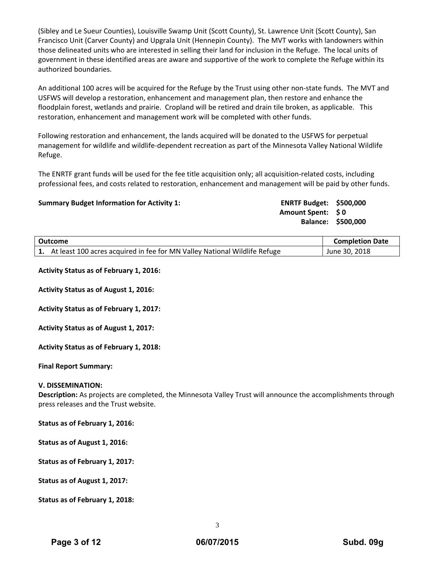(Sibley and Le Sueur Counties), Louisville Swamp Unit (Scott County), St. Lawrence Unit (Scott County), San Francisco Unit (Carver County) and Upgrala Unit (Hennepin County). The MVT works with landowners within those delineated units who are interested in selling their land for inclusion in the Refuge. The local units of government in these identified areas are aware and supportive of the work to complete the Refuge within its authorized boundaries.

An additional 100 acres will be acquired for the Refuge by the Trust using other non‐state funds. The MVT and USFWS will develop a restoration, enhancement and management plan, then restore and enhance the floodplain forest, wetlands and prairie. Cropland will be retired and drain tile broken, as applicable. This restoration, enhancement and management work will be completed with other funds.

Following restoration and enhancement, the lands acquired will be donated to the USFWS for perpetual management for wildlife and wildlife‐dependent recreation as part of the Minnesota Valley National Wildlife Refuge.

The ENRTF grant funds will be used for the fee title acquisition only; all acquisition‐related costs, including professional fees, and costs related to restoration, enhancement and management will be paid by other funds.

#### **Summary Budget Information for Activity 1: ENRTF Budget: \$500,000**

**Amount Spent: \$ 0 Balance: \$500,000** 

| Outcome                                                                   | <b>Completion Date</b> |  |  |
|---------------------------------------------------------------------------|------------------------|--|--|
| At least 100 acres acquired in fee for MN Valley National Wildlife Refuge | June 30, 2018          |  |  |

**Activity Status as of February 1, 2016:** 

**Activity Status as of August 1, 2016:** 

**Activity Status as of February 1, 2017:** 

**Activity Status as of August 1, 2017:**

**Activity Status as of February 1, 2018:** 

**Final Report Summary:**

#### **V. DISSEMINATION:**

**Description:** As projects are completed, the Minnesota Valley Trust will announce the accomplishments through press releases and the Trust website.

**Status as of February 1, 2016:**

**Status as of August 1, 2016:**

**Status as of February 1, 2017:**

**Status as of August 1, 2017:**

**Status as of February 1, 2018:**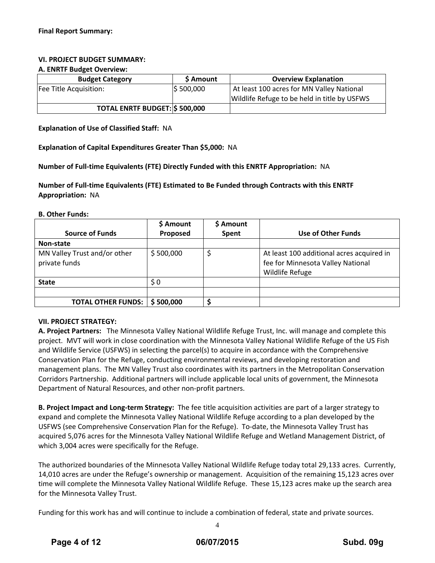### **VI. PROJECT BUDGET SUMMARY:**

#### **A. ENRTF Budget Overview:**

| <b>Budget Category</b>               | \$ Amount   | <b>Overview Explanation</b>                  |
|--------------------------------------|-------------|----------------------------------------------|
| Fee Title Acquisition:               | I\$ 500,000 | At least 100 acres for MN Valley National    |
|                                      |             | Wildlife Refuge to be held in title by USFWS |
| <b>TOTAL ENRTF BUDGET: \$500,000</b> |             |                                              |

**Explanation of Use of Classified Staff:** NA

**Explanation of Capital Expenditures Greater Than \$5,000:** NA

**Number of Full‐time Equivalents (FTE) Directly Funded with this ENRTF Appropriation:** NA

**Number of Full‐time Equivalents (FTE) Estimated to Be Funded through Contracts with this ENRTF Appropriation:** NA

**B. Other Funds:**

|                                               | \$ Amount | \$ Amount |                                                                                                   |
|-----------------------------------------------|-----------|-----------|---------------------------------------------------------------------------------------------------|
| <b>Source of Funds</b>                        | Proposed  | Spent     | <b>Use of Other Funds</b>                                                                         |
| Non-state                                     |           |           |                                                                                                   |
| MN Valley Trust and/or other<br>private funds | \$500,000 |           | At least 100 additional acres acquired in<br>fee for Minnesota Valley National<br>Wildlife Refuge |
| <b>State</b>                                  | \$0       |           |                                                                                                   |
|                                               |           |           |                                                                                                   |
| <b>TOTAL OTHER FUNDS:</b>                     | \$500,000 |           |                                                                                                   |

#### **VII. PROJECT STRATEGY:**

**A. Project Partners:** The Minnesota Valley National Wildlife Refuge Trust, Inc. will manage and complete this project. MVT will work in close coordination with the Minnesota Valley National Wildlife Refuge of the US Fish and Wildlife Service (USFWS) in selecting the parcel(s) to acquire in accordance with the Comprehensive Conservation Plan for the Refuge, conducting environmental reviews, and developing restoration and management plans. The MN Valley Trust also coordinates with its partners in the Metropolitan Conservation Corridors Partnership. Additional partners will include applicable local units of government, the Minnesota Department of Natural Resources, and other non‐profit partners.

**B. Project Impact and Long‐term Strategy:** The fee title acquisition activities are part of a larger strategy to expand and complete the Minnesota Valley National Wildlife Refuge according to a plan developed by the USFWS (see Comprehensive Conservation Plan for the Refuge). To‐date, the Minnesota Valley Trust has acquired 5,076 acres for the Minnesota Valley National Wildlife Refuge and Wetland Management District, of which 3,004 acres were specifically for the Refuge.

The authorized boundaries of the Minnesota Valley National Wildlife Refuge today total 29,133 acres. Currently, 14,010 acres are under the Refuge's ownership or management. Acquisition of the remaining 15,123 acres over time will complete the Minnesota Valley National Wildlife Refuge. These 15,123 acres make up the search area for the Minnesota Valley Trust.

Funding for this work has and will continue to include a combination of federal, state and private sources.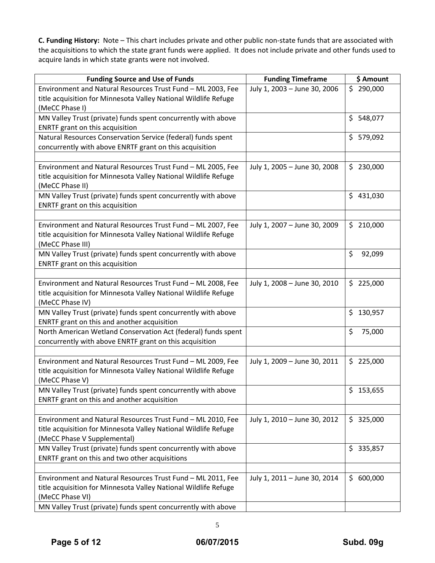**C. Funding History:** Note – This chart includes private and other public non‐state funds that are associated with the acquisitions to which the state grant funds were applied. It does not include private and other funds used to acquire lands in which state grants were not involved.

| <b>Funding Source and Use of Funds</b>                                                                                         | <b>Funding Timeframe</b>     | \$ Amount     |
|--------------------------------------------------------------------------------------------------------------------------------|------------------------------|---------------|
| Environment and Natural Resources Trust Fund - ML 2003, Fee                                                                    | July 1, 2003 - June 30, 2006 | \$290,000     |
| title acquisition for Minnesota Valley National Wildlife Refuge                                                                |                              |               |
| (MeCC Phase I)                                                                                                                 |                              |               |
| MN Valley Trust (private) funds spent concurrently with above                                                                  |                              | \$548,077     |
| ENRTF grant on this acquisition                                                                                                |                              |               |
| Natural Resources Conservation Service (federal) funds spent                                                                   |                              | \$579,092     |
| concurrently with above ENRTF grant on this acquisition                                                                        |                              |               |
|                                                                                                                                |                              |               |
| Environment and Natural Resources Trust Fund - ML 2005, Fee                                                                    | July 1, 2005 - June 30, 2008 | \$230,000     |
| title acquisition for Minnesota Valley National Wildlife Refuge                                                                |                              |               |
| (MeCC Phase II)                                                                                                                |                              |               |
| MN Valley Trust (private) funds spent concurrently with above                                                                  |                              | \$431,030     |
| ENRTF grant on this acquisition                                                                                                |                              |               |
|                                                                                                                                |                              |               |
| Environment and Natural Resources Trust Fund - ML 2007, Fee                                                                    | July 1, 2007 - June 30, 2009 | \$210,000     |
| title acquisition for Minnesota Valley National Wildlife Refuge                                                                |                              |               |
| (MeCC Phase III)                                                                                                               |                              |               |
| MN Valley Trust (private) funds spent concurrently with above                                                                  |                              | \$<br>92,099  |
| ENRTF grant on this acquisition                                                                                                |                              |               |
|                                                                                                                                |                              |               |
| Environment and Natural Resources Trust Fund - ML 2008, Fee<br>title acquisition for Minnesota Valley National Wildlife Refuge | July 1, 2008 - June 30, 2010 | \$225,000     |
| (MeCC Phase IV)                                                                                                                |                              |               |
| MN Valley Trust (private) funds spent concurrently with above                                                                  |                              | \$<br>130,957 |
| ENRTF grant on this and another acquisition                                                                                    |                              |               |
| North American Wetland Conservation Act (federal) funds spent                                                                  |                              | \$<br>75,000  |
| concurrently with above ENRTF grant on this acquisition                                                                        |                              |               |
|                                                                                                                                |                              |               |
| Environment and Natural Resources Trust Fund - ML 2009, Fee                                                                    | July 1, 2009 - June 30, 2011 | \$225,000     |
| title acquisition for Minnesota Valley National Wildlife Refuge                                                                |                              |               |
| (MeCC Phase V)                                                                                                                 |                              |               |
| MN Valley Trust (private) funds spent concurrently with above                                                                  |                              | \$<br>153,655 |
| ENRTF grant on this and another acquisition                                                                                    |                              |               |
|                                                                                                                                |                              |               |
| Environment and Natural Resources Trust Fund - ML 2010, Fee                                                                    | July 1, 2010 - June 30, 2012 | \$325,000     |
| title acquisition for Minnesota Valley National Wildlife Refuge                                                                |                              |               |
| (MeCC Phase V Supplemental)                                                                                                    |                              |               |
| MN Valley Trust (private) funds spent concurrently with above                                                                  |                              | \$335,857     |
| ENRTF grant on this and two other acquisitions                                                                                 |                              |               |
|                                                                                                                                |                              |               |
| Environment and Natural Resources Trust Fund - ML 2011, Fee                                                                    | July 1, 2011 - June 30, 2014 | \$600,000     |
| title acquisition for Minnesota Valley National Wildlife Refuge                                                                |                              |               |
| (MeCC Phase VI)                                                                                                                |                              |               |
| MN Valley Trust (private) funds spent concurrently with above                                                                  |                              |               |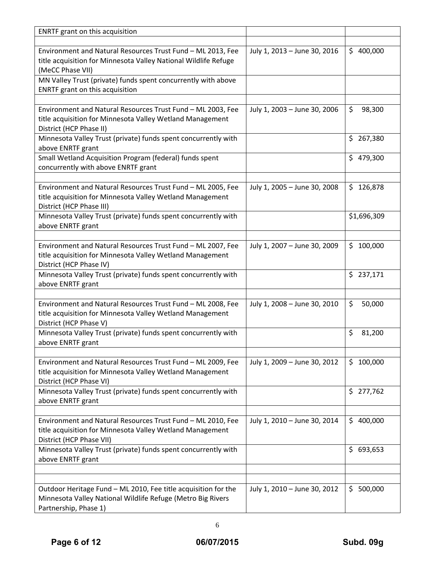| ENRTF grant on this acquisition                                                                                                                        |                              |              |
|--------------------------------------------------------------------------------------------------------------------------------------------------------|------------------------------|--------------|
| Environment and Natural Resources Trust Fund - ML 2013, Fee<br>title acquisition for Minnesota Valley National Wildlife Refuge<br>(MeCC Phase VII)     | July 1, 2013 - June 30, 2016 | \$400,000    |
| MN Valley Trust (private) funds spent concurrently with above<br>ENRTF grant on this acquisition                                                       |                              |              |
| Environment and Natural Resources Trust Fund - ML 2003, Fee<br>title acquisition for Minnesota Valley Wetland Management<br>District (HCP Phase II)    | July 1, 2003 - June 30, 2006 | \$<br>98,300 |
| Minnesota Valley Trust (private) funds spent concurrently with<br>above ENRTF grant                                                                    |                              | \$267,380    |
| Small Wetland Acquisition Program (federal) funds spent<br>concurrently with above ENRTF grant                                                         |                              | \$479,300    |
| Environment and Natural Resources Trust Fund - ML 2005, Fee<br>title acquisition for Minnesota Valley Wetland Management<br>District (HCP Phase III)   | July 1, 2005 - June 30, 2008 | \$126,878    |
| Minnesota Valley Trust (private) funds spent concurrently with<br>above ENRTF grant                                                                    |                              | \$1,696,309  |
| Environment and Natural Resources Trust Fund - ML 2007, Fee<br>title acquisition for Minnesota Valley Wetland Management<br>District (HCP Phase IV)    | July 1, 2007 - June 30, 2009 | \$100,000    |
| Minnesota Valley Trust (private) funds spent concurrently with<br>above ENRTF grant                                                                    |                              | \$237,171    |
| Environment and Natural Resources Trust Fund - ML 2008, Fee<br>title acquisition for Minnesota Valley Wetland Management<br>District (HCP Phase V)     | July 1, 2008 - June 30, 2010 | \$<br>50,000 |
| Minnesota Valley Trust (private) funds spent concurrently with<br>above ENRTF grant                                                                    |                              | \$<br>81,200 |
| Environment and Natural Resources Trust Fund - ML 2009, Fee<br>title acquisition for Minnesota Valley Wetland Management<br>District (HCP Phase VI)    | July 1, 2009 - June 30, 2012 | \$100,000    |
| Minnesota Valley Trust (private) funds spent concurrently with<br>above ENRTF grant                                                                    |                              | \$277,762    |
| Environment and Natural Resources Trust Fund - ML 2010, Fee<br>title acquisition for Minnesota Valley Wetland Management<br>District (HCP Phase VII)   | July 1, 2010 - June 30, 2014 | \$400,000    |
| Minnesota Valley Trust (private) funds spent concurrently with<br>above ENRTF grant                                                                    |                              | \$693,653    |
| Outdoor Heritage Fund - ML 2010, Fee title acquisition for the<br>Minnesota Valley National Wildlife Refuge (Metro Big Rivers<br>Partnership, Phase 1) | July 1, 2010 - June 30, 2012 | \$500,000    |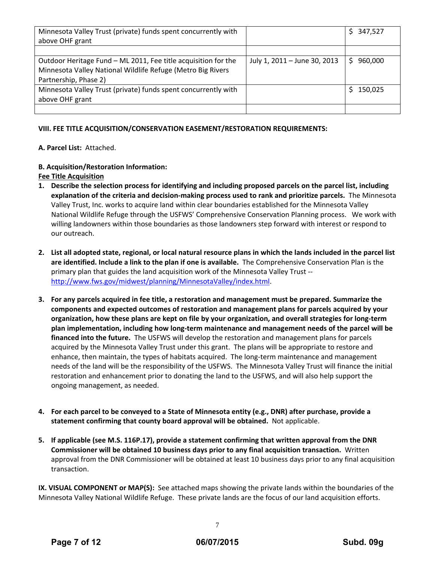| Minnesota Valley Trust (private) funds spent concurrently with<br>above OHF grant                                                                      |                              | 347,527 |
|--------------------------------------------------------------------------------------------------------------------------------------------------------|------------------------------|---------|
|                                                                                                                                                        |                              |         |
| Outdoor Heritage Fund - ML 2011, Fee title acquisition for the<br>Minnesota Valley National Wildlife Refuge (Metro Big Rivers<br>Partnership, Phase 2) | July 1, 2011 - June 30, 2013 | 960,000 |
| Minnesota Valley Trust (private) funds spent concurrently with<br>above OHF grant                                                                      |                              | 150,025 |
|                                                                                                                                                        |                              |         |

### **VIII. FEE TITLE ACQUISITION/CONSERVATION EASEMENT/RESTORATION REQUIREMENTS:**

**A. Parcel List:** Attached.

### **B. Acquisition/Restoration Information:**

**Fee Title Acquisition**

- **1. Describe the selection process for identifying and including proposed parcels on the parcel list, including explanation of the criteria and decision‐making process used to rank and prioritize parcels.** The Minnesota Valley Trust, Inc. works to acquire land within clear boundaries established for the Minnesota Valley National Wildlife Refuge through the USFWS' Comprehensive Conservation Planning process. We work with willing landowners within those boundaries as those landowners step forward with interest or respond to our outreach.
- 2. List all adopted state, regional, or local natural resource plans in which the lands included in the parcel list **are identified. Include a link to the plan if one is available.** The Comprehensive Conservation Plan is the primary plan that guides the land acquisition work of the Minnesota Valley Trust ‐‐ http://www.fws.gov/midwest/planning/MinnesotaValley/index.html.
- **3. For any parcels acquired in fee title, a restoration and management must be prepared. Summarize the components and expected outcomes of restoration and management plans for parcels acquired by your** organization, how these plans are kept on file by your organization, and overall strategies for long-term **plan implementation, including how long‐term maintenance and management needs of the parcel will be financed into the future.** The USFWS will develop the restoration and management plans for parcels acquired by the Minnesota Valley Trust under this grant. The plans will be appropriate to restore and enhance, then maintain, the types of habitats acquired. The long-term maintenance and management needs of the land will be the responsibility of the USFWS. The Minnesota Valley Trust will finance the initial restoration and enhancement prior to donating the land to the USFWS, and will also help support the ongoing management, as needed.
- 4. For each parcel to be conveyed to a State of Minnesota entity (e.g., DNR) after purchase, provide a **statement confirming that county board approval will be obtained.** Not applicable.
- **5. If applicable (see M.S. 116P.17), provide a statement confirming that written approval from the DNR Commissioner will be obtained 10 business days prior to any final acquisition transaction.** Written approval from the DNR Commissioner will be obtained at least 10 business days prior to any final acquisition transaction.

**IX. VISUAL COMPONENT or MAP(S):** See attached maps showing the private lands within the boundaries of the Minnesota Valley National Wildlife Refuge. These private lands are the focus of our land acquisition efforts.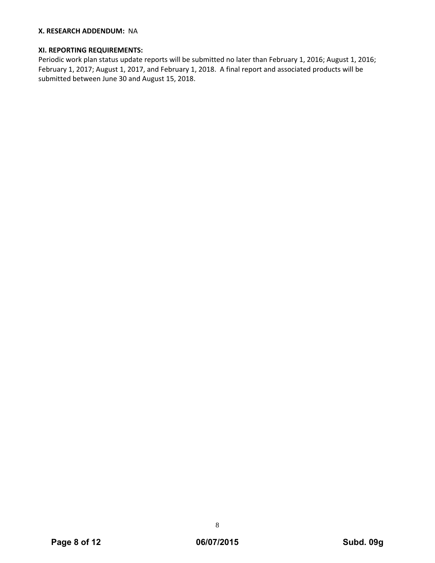#### **X. RESEARCH ADDENDUM:** NA

#### **XI. REPORTING REQUIREMENTS:**

Periodic work plan status update reports will be submitted no later than February 1, 2016; August 1, 2016; February 1, 2017; August 1, 2017, and February 1, 2018. A final report and associated products will be submitted between June 30 and August 15, 2018.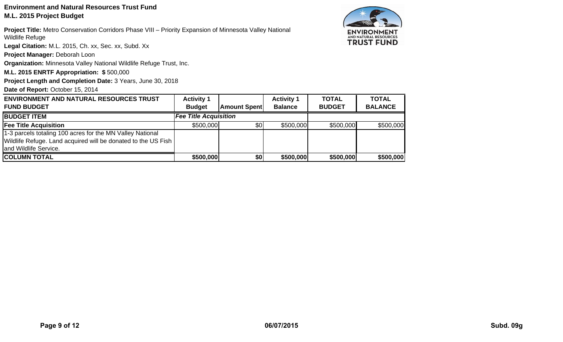## **Environment and Natural Resources Trust FundM.L. 2015 Project Budget**

**Project Title:** Metro Conservation Corridors Phase VIII – Priority Expansion of Minnesota Valley National Wildlife Refuge

**Legal Citation:** M.L. 2015, Ch. xx, Sec. xx, Subd. Xx

**Project Manager:** Deborah Loon

**Organization:** Minnesota Valley National Wildlife Refuge Trust, Inc.

**M.L. 2015 ENRTF Appropriation: \$** 500,000

**Project Length and Completion Date:** 3 Years, June 30, 2018

Date of Report: October 15, 2014

| <b>ENVIRONMENT AND NATURAL RESOURCES TRUST</b>                                                                             | <b>Activity 1</b>            |                     | <b>Activity 1</b> | <b>TOTAL</b>  | <b>TOTAL</b><br><b>BALANCE</b> |
|----------------------------------------------------------------------------------------------------------------------------|------------------------------|---------------------|-------------------|---------------|--------------------------------|
| <b>FUND BUDGET</b>                                                                                                         | <b>Budget</b>                | <b>Amount Spent</b> | <b>Balance</b>    | <b>BUDGET</b> |                                |
| <b>BUDGET ITEM</b>                                                                                                         | <b>Fee Title Acquisition</b> |                     |                   |               |                                |
| <b>Fee Title Acquisition</b>                                                                                               | \$500,000                    | \$0l                | \$500,000         | \$500,000     | \$500,000                      |
| 1-3 parcels totaling 100 acres for the MN Valley National<br>Wildlife Refuge. Land acquired will be donated to the US Fish |                              |                     |                   |               |                                |
| and Wildlife Service.                                                                                                      |                              |                     |                   |               |                                |
| <b>COLUMN TOTAL</b>                                                                                                        | \$500,000                    | \$0                 | \$500,000         | \$500,000     | \$500,000                      |

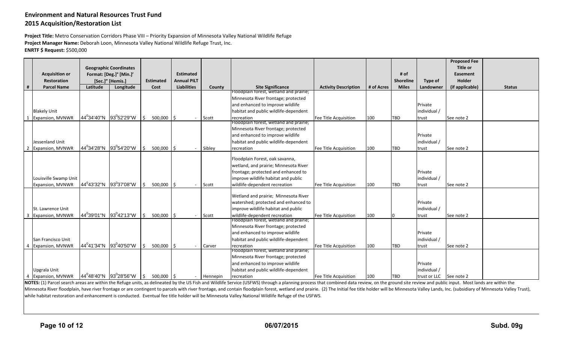## **Environment and Natural Resources Trust Fund**

## **2015 Acquisition/Restoration List**

**Project Title:** Metro Conservation Corridors Phase VIII – Priority Expansion of Minnesota Valley National Wildlife Refuge **Project Manager Name:** Deborah Loon, Minnesota Valley National Wildlife Refuge Trust, Inc. **ENRTF \$ Request:** \$500,000

|              |                         |                         |                                                   |                                 |                    |          |                                                                     |                              |            |                  |                         | <b>Proposed Fee</b> |               |
|--------------|-------------------------|-------------------------|---------------------------------------------------|---------------------------------|--------------------|----------|---------------------------------------------------------------------|------------------------------|------------|------------------|-------------------------|---------------------|---------------|
|              |                         |                         | <b>Geographic Coordinates</b>                     |                                 |                    |          |                                                                     |                              |            |                  |                         | <b>Title or</b>     |               |
|              | <b>Acquisition or</b>   |                         | Format: [Deg.]° [Min.]'                           |                                 | <b>Estimated</b>   |          |                                                                     |                              |            | # of             |                         | Easement            |               |
|              | Restoration             |                         | [Sec.]" [Hemis.]                                  | <b>Estimated</b>                | <b>Annual PILT</b> |          |                                                                     |                              |            | <b>Shoreline</b> | Type of                 | Holder              |               |
| #            | <b>Parcel Name</b>      | Latitude                | Longitude                                         | Cost                            | <b>Liabilities</b> | County   | <b>Site Significance</b><br>Floodplain forest, wetland and prairie; | <b>Activity Description</b>  | # of Acres | <b>Miles</b>     | Landowner               | (if applicable)     | <b>Status</b> |
|              |                         |                         |                                                   |                                 |                    |          | Minnesota River frontage; protected                                 |                              |            |                  |                         |                     |               |
|              |                         |                         |                                                   |                                 |                    |          | and enhanced to improve wildlife                                    |                              |            |                  | Private                 |                     |               |
|              |                         |                         |                                                   |                                 |                    |          |                                                                     |                              |            |                  |                         |                     |               |
|              | <b>Blakely Unit</b>     | 44 <sup>0</sup> 34'40"N | 93°52'29"W                                        | $\vert$ S                       |                    |          | habitat and public wildlife-dependent<br>recreation                 | Fee Title Acquisition        | 100        | <b>TBD</b>       | individual /            | See note 2          |               |
| $\mathbf{1}$ | <b>Expansion, MVNWR</b> |                         |                                                   | $500,000$ \$                    |                    | Scott    | Floodplain forest, wetland and prairie;                             |                              |            |                  | trust                   |                     |               |
|              |                         |                         |                                                   |                                 |                    |          | Minnesota River frontage; protected                                 |                              |            |                  |                         |                     |               |
|              |                         |                         |                                                   |                                 |                    |          | and enhanced to improve wildlife                                    |                              |            |                  | Private                 |                     |               |
|              | Jessenland Unit         |                         |                                                   |                                 |                    |          | habitat and public wildlife-dependent                               |                              |            |                  | individual /            |                     |               |
| 2            | <b>Expansion, MVNWR</b> | 44 <sup>0</sup> 34'28"N | 93°54'20"W                                        | $500,000$ \$<br>$\overline{15}$ |                    | Sibley   | recreation                                                          | <b>Fee Title Acquisition</b> | 100        | <b>TBD</b>       | trust                   | See note 2          |               |
|              |                         |                         |                                                   |                                 |                    |          |                                                                     |                              |            |                  |                         |                     |               |
|              |                         |                         |                                                   |                                 |                    |          | Floodplain Forest, oak savanna,                                     |                              |            |                  |                         |                     |               |
|              |                         |                         |                                                   |                                 |                    |          | wetland, and prairie; Minnesota River                               |                              |            |                  |                         |                     |               |
|              |                         |                         |                                                   |                                 |                    |          | frontage; protected and enhanced to                                 |                              |            |                  | Private                 |                     |               |
|              | Louisville Swamp Unit   |                         |                                                   |                                 |                    |          | improve wildlife habitat and public                                 |                              |            |                  | individual /            |                     |               |
|              | Expansion, MVNWR        | 44 <sup>0</sup> 43'32"N | $93^0$ 37'08"W                                    | $500,000$ \$<br>$\vert$ \$      |                    | Scott    | wildlife-dependent recreation                                       | Fee Title Acquisition        | 100        | <b>TBD</b>       | trust                   | See note 2          |               |
|              |                         |                         |                                                   |                                 |                    |          | Wetland and prairie; Minnesota River                                |                              |            |                  |                         |                     |               |
|              |                         |                         |                                                   |                                 |                    |          | watershed; protected and enhanced to                                |                              |            |                  | Private                 |                     |               |
|              | St. Lawrence Unit       |                         |                                                   |                                 |                    |          | improve wildlife habitat and public                                 |                              |            |                  | individual /            |                     |               |
|              | 3 Expansion, MVNWR      | 44 <sup>0</sup> 39'01"N | 93 <sup>0</sup> 42'13"W                           | $500,000$ \$<br>$\overline{5}$  |                    | Scott    | wildlife-dependent recreation                                       | Fee Title Acquisition        | 100        |                  | trust                   | See note 2          |               |
|              |                         |                         |                                                   |                                 |                    |          | Floodplain forest, wetland and prairie;                             |                              |            |                  |                         |                     |               |
|              |                         |                         |                                                   |                                 |                    |          | Minnesota River frontage; protected                                 |                              |            |                  |                         |                     |               |
|              |                         |                         |                                                   |                                 |                    |          | and enhanced to improve wildlife                                    |                              |            |                  | Private                 |                     |               |
|              | San Francisco Unit      |                         |                                                   |                                 |                    |          | habitat and public wildlife-dependent                               |                              |            |                  | individual /            |                     |               |
|              | 4 Expansion, MVNWR      |                         | 44 <sup>0</sup> 41'34"N 93 <sup>0</sup> 40'50"W   | $\overline{5}$<br>$500,000$ \$  |                    | Carver   | recreation                                                          | Fee Title Acquisition        | 100        | <b>TBD</b>       | trust                   | See note 2          |               |
|              |                         |                         |                                                   |                                 |                    |          | Floodplain forest, wetland and prairie;                             |                              |            |                  |                         |                     |               |
|              |                         |                         |                                                   |                                 |                    |          | Minnesota River frontage; protected                                 |                              |            |                  |                         |                     |               |
|              |                         |                         |                                                   |                                 |                    |          | and enhanced to improve wildlife                                    |                              |            |                  | Private                 |                     |               |
|              | Upgrala Unit            |                         |                                                   |                                 |                    |          | habitat and public wildlife-dependent                               |                              |            |                  | individual /            |                     |               |
|              | 4 Expansion, MVNWR      |                         | $44^{\circ}48'40''N$ 93 <sup>°</sup> 28'56"W   \$ | $500,000$ \$                    |                    | Hennepin | recreation                                                          | Fee Title Acquisition        | 100        | <b>TBD</b>       | trust or LLC See note 2 |                     |               |

NOTES: (1) Parcel search areas are within the Refuge units, as delineated by the US Fish and Wildlife Service (USFWS) through a planning process that combined data review, on the ground site review and public input. Most l Minnesota River floodplain, have river frontage or are contingent to parcels with river frontage, and contain floodplain forest, wetland and prairie. (2) The Initial fee title holder will be Minnesota Valley Lands, Inc. (s while habitat restoration and enhancement is conducted. Eventual fee title holder will be Minnesota Valley National Wildlife Refuge of the USFWS.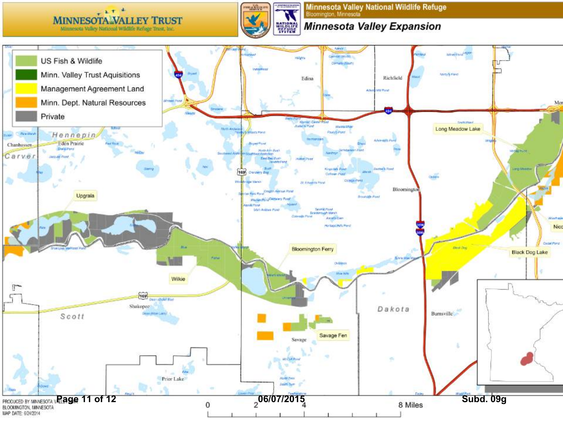